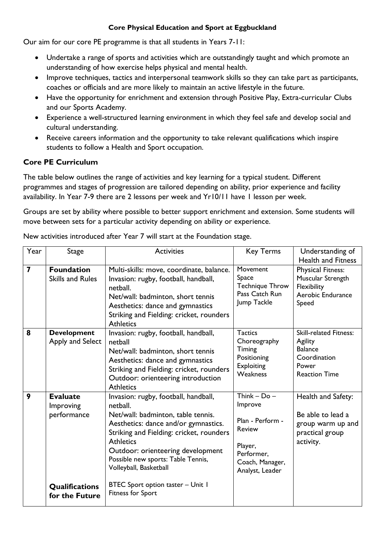## **Core Physical Education and Sport at Eggbuckland**

Our aim for our core PE programme is that all students in Years 7-11:

- Undertake a range of sports and activities which are outstandingly taught and which promote an understanding of how exercise helps physical and mental health.
- Improve techniques, tactics and interpersonal teamwork skills so they can take part as participants, coaches or officials and are more likely to maintain an active lifestyle in the future.
- Have the opportunity for enrichment and extension through Positive Play, Extra-curricular Clubs and our Sports Academy.
- Experience a well-structured learning environment in which they feel safe and develop social and cultural understanding.
- Receive careers information and the opportunity to take relevant qualifications which inspire students to follow a Health and Sport occupation.

# **Core PE Curriculum**

The table below outlines the range of activities and key learning for a typical student. Different programmes and stages of progression are tailored depending on ability, prior experience and facility availability. In Year 7-9 there are 2 lessons per week and Yr10/11 have 1 lesson per week.

Groups are set by ability where possible to better support enrichment and extension. Some students will move between sets for a particular activity depending on ability or experience.

| Year                    | <b>Stage</b>                                 | <b>Activities</b>                                                                                                                                                                                                                                                                                   | <b>Key Terms</b>                                                                                                         | Understanding of<br><b>Health and Fitness</b>                                                               |
|-------------------------|----------------------------------------------|-----------------------------------------------------------------------------------------------------------------------------------------------------------------------------------------------------------------------------------------------------------------------------------------------------|--------------------------------------------------------------------------------------------------------------------------|-------------------------------------------------------------------------------------------------------------|
| $\overline{\mathbf{z}}$ | <b>Foundation</b><br><b>Skills and Rules</b> | Multi-skills: move, coordinate, balance.<br>Invasion: rugby, football, handball,<br>netball.<br>Net/wall: badminton, short tennis<br>Aesthetics: dance and gymnastics<br>Striking and Fielding: cricket, rounders<br><b>Athletics</b>                                                               | Movement<br>Space<br><b>Technique Throw</b><br>Pass Catch Run<br>Jump Tackle                                             | <b>Physical Fitness:</b><br>Muscular Strength<br>Flexibility<br>Aerobic Endurance<br>Speed                  |
| 8                       | <b>Development</b><br>Apply and Select       | Invasion: rugby, football, handball,<br>netball<br>Net/wall: badminton, short tennis<br>Aesthetics: dance and gymnastics<br>Striking and Fielding: cricket, rounders<br>Outdoor: orienteering introduction<br><b>Athletics</b>                                                                      | <b>Tactics</b><br>Choreography<br>Timing<br>Positioning<br><b>Exploiting</b><br><b>Weakness</b>                          | <b>Skill-related Fitness:</b><br>Agility<br><b>Balance</b><br>Coordination<br>Power<br><b>Reaction Time</b> |
| 9                       | <b>Evaluate</b><br>Improving<br>performance  | Invasion: rugby, football, handball,<br>netball.<br>Net/wall: badminton, table tennis.<br>Aesthetics: dance and/or gymnastics.<br>Striking and Fielding: cricket, rounders<br><b>Athletics</b><br>Outdoor: orienteering development<br>Possible new sports: Table Tennis,<br>Volleyball, Basketball | Think $-$ Do $-$<br>Improve<br>Plan - Perform -<br>Review<br>Player,<br>Performer,<br>Coach, Manager,<br>Analyst, Leader | Health and Safety:<br>Be able to lead a<br>group warm up and<br>practical group<br>activity.                |
|                         | <b>Qualifications</b><br>for the Future      | BTEC Sport option taster - Unit I<br><b>Fitness for Sport</b>                                                                                                                                                                                                                                       |                                                                                                                          |                                                                                                             |

New activities introduced after Year 7 will start at the Foundation stage.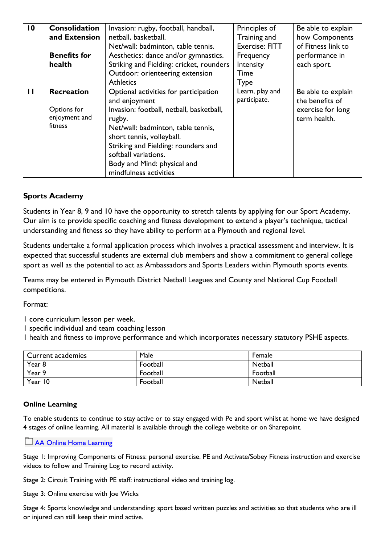| $\overline{10}$               | <b>Consolidation</b><br>and Extension   | Invasion: rugby, football, handball,<br>netball, basketball.                                                                                                                                                                                  | Principles of<br>Training and                                   | Be able to explain<br>how Components                |  |
|-------------------------------|-----------------------------------------|-----------------------------------------------------------------------------------------------------------------------------------------------------------------------------------------------------------------------------------------------|-----------------------------------------------------------------|-----------------------------------------------------|--|
| <b>Benefits for</b><br>health |                                         | Net/wall: badminton, table tennis.<br>Aesthetics: dance and/or gymnastics.<br>Striking and Fielding: cricket, rounders<br>Outdoor: orienteering extension<br><b>Athletics</b>                                                                 | <b>Exercise: FITT</b><br>Frequency<br>Intensity<br>Time<br>Type | of Fitness link to<br>performance in<br>each sport. |  |
| $\mathbf{H}$                  | <b>Recreation</b>                       | Optional activities for participation<br>and enjoyment                                                                                                                                                                                        | Learn, play and<br>participate.                                 | Be able to explain<br>the benefits of               |  |
|                               | Options for<br>enjoyment and<br>fitness | Invasion: football, netball, basketball,<br>rugby.<br>Net/wall: badminton, table tennis,<br>short tennis, volleyball.<br>Striking and Fielding: rounders and<br>softball variations.<br>Body and Mind: physical and<br>mindfulness activities |                                                                 | exercise for long<br>term health.                   |  |

### **Sports Academy**

Students in Year 8, 9 and 10 have the opportunity to stretch talents by applying for our Sport Academy. Our aim is to provide specific coaching and fitness development to extend a player's technique, tactical understanding and fitness so they have ability to perform at a Plymouth and regional level.

Students undertake a formal application process which involves a practical assessment and interview. It is expected that successful students are external club members and show a commitment to general college sport as well as the potential to act as Ambassadors and Sports Leaders within Plymouth sports events.

Teams may be entered in Plymouth District Netball Leagues and County and National Cup Football competitions.

Format:

1 core curriculum lesson per week.

1 specific individual and team coaching lesson

1 health and fitness to improve performance and which incorporates necessary statutory PSHE aspects.

| <b>Current academies</b> | Male     | Female   |
|--------------------------|----------|----------|
| Year 8                   | Football | Netball  |
| Year 9                   | Football | Football |
| Year 10                  | Football | Netball  |

### **Online Learning**

To enable students to continue to stay active or to stay engaged with Pe and sport whilst at home we have designed 4 stages of online learning. All material is available through the college website or on Sharepoint.

#### **[AA Online Home Learning](https://eggbuckland.sharepoint.com/:f:/g/peandsport/EtLaKDMI2QFAqD8-8yeyzPMB8kB2cPKFW5DgzqUkVKN5kg?e=Ej9SwA)**

Stage 1: Improving Components of Fitness: personal exercise. PE and Activate/Sobey Fitness instruction and exercise videos to follow and Training Log to record activity.

Stage 2: Circuit Training with PE staff: instructional video and training log.

Stage 3: Online exercise with loe Wicks

Stage 4: Sports knowledge and understanding: sport based written puzzles and activities so that students who are ill or injured can still keep their mind active.